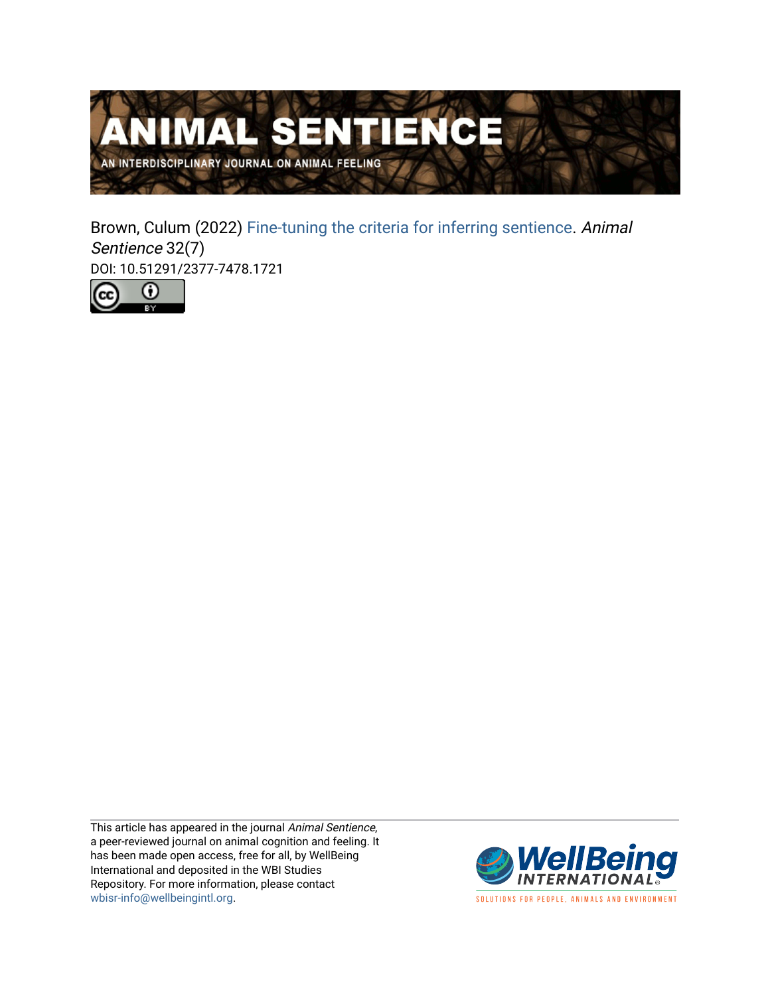

Brown, Culum (2022) [Fine-tuning the criteria for inferring sentience](https://www.wellbeingintlstudiesrepository.org/animsent/vol7/iss32/7). Animal Sentience 32(7) DOI: 10.51291/2377-7478.1721



This article has appeared in the journal Animal Sentience, a peer-reviewed journal on animal cognition and feeling. It has been made open access, free for all, by WellBeing International and deposited in the WBI Studies Repository. For more information, please contact [wbisr-info@wellbeingintl.org](mailto:wbisr-info@wellbeingintl.org).



SOLUTIONS FOR PEOPLE, ANIMALS AND ENVIRONMENT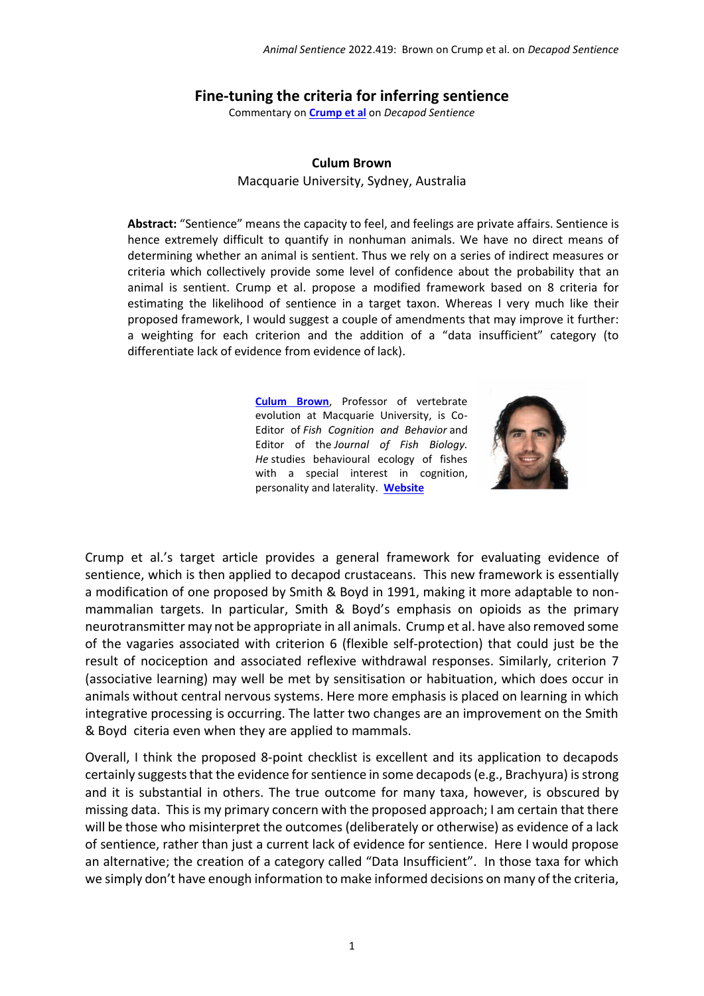## **Fine-tuning the criteria for inferring sentience**

Commentary on **[Crump et al](https://www.wellbeingintlstudiesrepository.org/animsent/vol7/iss32/1)** on *Decapod Sentience*

## **Culum Brown**

Macquarie University, Sydney, Australia

**Abstract:** "Sentience" means the capacity to feel, and feelings are private affairs. Sentience is hence extremely difficult to quantify in nonhuman animals. We have no direct means of determining whether an animal is sentient. Thus we rely on a series of indirect measures or criteria which collectively provide some level of confidence about the probability that an animal is sentient. Crump et al. propose a modified framework based on 8 criteria for estimating the likelihood of sentience in a target taxon. Whereas I very much like their proposed framework, I would suggest a couple of amendments that may improve it further: a weighting for each criterion and the addition of a "data insufficient" category (to differentiate lack of evidence from evidence of lack).

> **Culum [Brown](mailto:culumbrown@gmail.com)**, Professor of vertebrate evolution at Macquarie University, is Co-Editor of *Fish Cognition and Behavior* and Editor of the *Journal of Fish Biology. He* studies behavioural ecology of fishes with a special interest in cognition, personality and laterality. **[Website](http://www.thefishlab.com/PI.html)**



Crump et al.'s target article provides a general framework for evaluating evidence of sentience, which is then applied to decapod crustaceans. This new framework is essentially a modification of one proposed by Smith & Boyd in 1991, making it more adaptable to nonmammalian targets. In particular, Smith & Boyd's emphasis on opioids as the primary neurotransmitter may not be appropriate in all animals. Crump et al. have also removed some of the vagaries associated with criterion 6 (flexible self-protection) that could just be the result of nociception and associated reflexive withdrawal responses. Similarly, criterion 7 (associative learning) may well be met by sensitisation or habituation, which does occur in animals without central nervous systems. Here more emphasis is placed on learning in which integrative processing is occurring. The latter two changes are an improvement on the Smith & Boyd citeria even when they are applied to mammals.

Overall, I think the proposed 8-point checklist is excellent and its application to decapods certainly suggests that the evidence for sentience in some decapods(e.g., Brachyura) is strong and it is substantial in others. The true outcome for many taxa, however, is obscured by missing data. This is my primary concern with the proposed approach; I am certain that there will be those who misinterpret the outcomes (deliberately or otherwise) as evidence of a lack of sentience, rather than just a current lack of evidence for sentience. Here I would propose an alternative; the creation of a category called "Data Insufficient". In those taxa for which we simply don't have enough information to make informed decisions on many of the criteria,